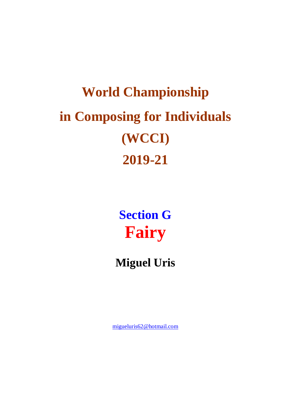# **World Championship in Composing for Individuals (WCCI) 2019-21**

**Section G Fairy**

#### **Miguel Uris**

[migueluris62@hotmail.com](mailto:migueluris62@hotmail.com)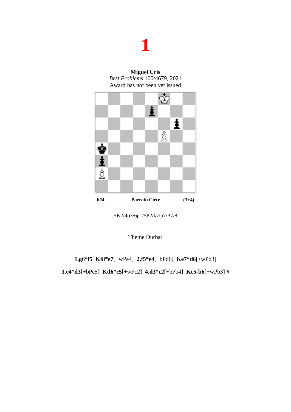**Miguel Uris** *Best Problems* 100/4679, 2021 Award has not been yet issued



5K2/4p3/6p1/5P2/k7/p7/P7/8

Theme Durbar

**1.g6\*f5 Kf8\*e7**[+wPe4] **2.f5\*e4**[+bPd6] **Ke7\*d6**[+wPd3]

**3.e4\*d3**[+bPc5] **Kd6\*c5**[+wPc2] **4.d3\*c2**[+bPb4] **Kc5-b6**[+wPb3] #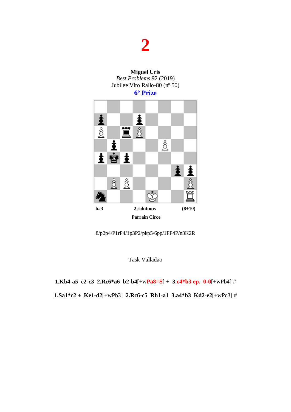

8/p2p4/P1rP4/1p3P2/pkp5/6pp/1PP4P/n3K2R

Task Valladao

**1.Kb4-a5 c2-c3 2.Rc6\*a6 b2-b4**[+w**Pa8=S**] **+ 3.c4\*b3 ep. 0-0**[+wPb4] # **1.Sa1\*c2 + Ke1-d2**[+wPb3] **2.Rc6-c5 Rh1-a1 3.a4\*b3 Kd2-e2**[+wPc3] #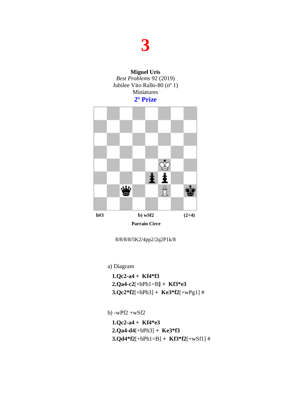



8/8/8/8/5K2/4pp2/2q2P1k/8

a) Diagram

 **1.Qc2-a4 + Kf4\*f3 2.Qa4-c2**[+bPh1=B**] + Kf3\*e3 3.Qc2\*f2**[+bPh3] **+ Ke3\*f2**[+wPg1] #

b) -wPf2 +wSf2

 **1.Qc2-a4 + Kf4\*e3 2.Qa4-d4**[+bPh3] **+ Ke3\*f3 3.Qd4\*f2**[+bPh1=B] **+ Kf3\*f2**[+wSf1] #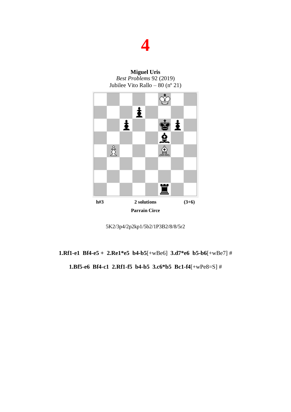



5K2/3p4/2p2kp1/5b2/1P3B2/8/8/5r2

#### **1.Rf1-e1 Bf4-e5 + 2.Re1\*e5 b4-b5**[+wBe6] **3.d7\*e6 b5-b6**[+wBe7] # **1.Bf5-e6 Bf4-c1 2.Rf1-f5 b4-b5 3.c6\*b5 Bc1-f4**[+wPe8=S] #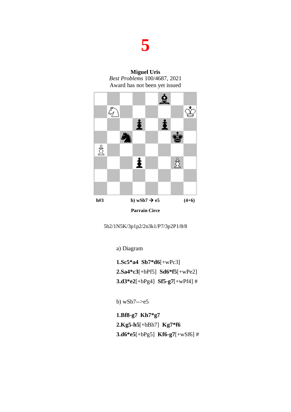**Miguel Uris** *Best Problems* 100/4687, 2021 Award has not been yet issued



5b2/1N5K/3p1p2/2n3k1/P7/3p2P1/8/8

a) Diagram

**1.Sc5\*a4 Sb7\*d6**[+wPc3] **2.Sa4\*c3**[+bPf5] **Sd6\*f5**[+wPe2] **3.d3\*e2**[+bPg4] **Sf5-g7**[+wPf4] #

b) wSb7-->e5

**1.Bf8-g7 Kh7\*g7 2.Kg5-h5**[+bBh7] **Kg7\*f6 3.d6\*e5**[+bPg5] **Kf6-g7**[+wSf6] #